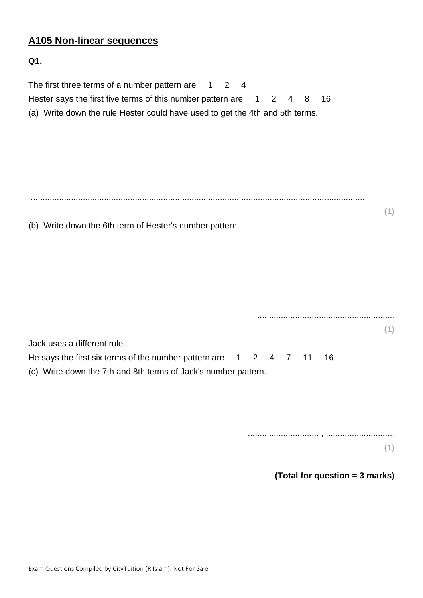# **A105 Non-linear sequences**

## **Q1.**

| The first three terms of a number pattern are $124$<br>Hester says the first five terms of this number pattern are 1<br>(a) Write down the rule Hester could have used to get the 4th and 5th terms. | $2 \quad 4$<br>16<br>8 |
|------------------------------------------------------------------------------------------------------------------------------------------------------------------------------------------------------|------------------------|
| (b) Write down the 6th term of Hester's number pattern.                                                                                                                                              | (1)                    |
|                                                                                                                                                                                                      |                        |
| Jack uses a different rule.<br>He says the first six terms of the number pattern are $1 \quad 2 \quad 4 \quad 7$<br>(c) Write down the 7th and 8th terms of Jack's number pattern.                   | (1)<br>11<br>16        |
|                                                                                                                                                                                                      | (1)                    |

**(Total for question = 3 marks)**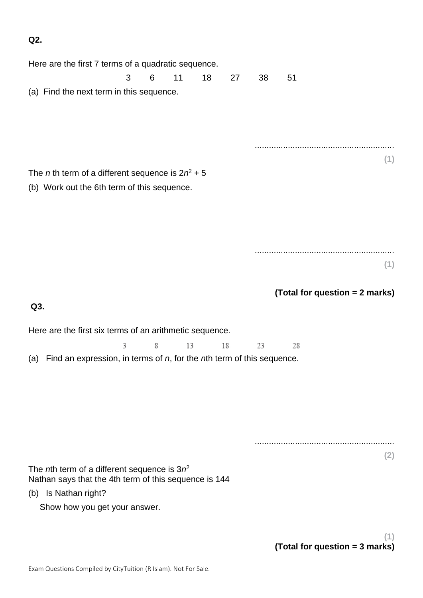**Q2.**

|     | Here are the first 7 terms of a quadratic sequence.                                                             |   |   |    |    |    |    |    |                                       |  |
|-----|-----------------------------------------------------------------------------------------------------------------|---|---|----|----|----|----|----|---------------------------------------|--|
|     |                                                                                                                 | 3 | 6 | 11 | 18 | 27 | 38 | 51 |                                       |  |
|     | (a) Find the next term in this sequence.                                                                        |   |   |    |    |    |    |    |                                       |  |
|     |                                                                                                                 |   |   |    |    |    |    |    |                                       |  |
|     |                                                                                                                 |   |   |    |    |    |    |    | (1)                                   |  |
|     | The <i>n</i> th term of a different sequence is $2n^2 + 5$                                                      |   |   |    |    |    |    |    |                                       |  |
|     | (b) Work out the 6th term of this sequence.                                                                     |   |   |    |    |    |    |    |                                       |  |
|     |                                                                                                                 |   |   |    |    |    |    |    |                                       |  |
|     |                                                                                                                 |   |   |    |    |    |    |    |                                       |  |
|     |                                                                                                                 |   |   |    |    |    |    |    |                                       |  |
|     |                                                                                                                 |   |   |    |    |    |    |    |                                       |  |
|     |                                                                                                                 |   |   |    |    |    |    |    | (1)                                   |  |
|     |                                                                                                                 |   |   |    |    |    |    |    | (Total for question = 2 marks)        |  |
| Q3. |                                                                                                                 |   |   |    |    |    |    |    |                                       |  |
|     |                                                                                                                 |   |   |    |    |    |    |    |                                       |  |
|     | Here are the first six terms of an arithmetic sequence.                                                         |   |   |    |    |    |    |    |                                       |  |
| (a) | Find an expression, in terms of $n$ , for the $n$ th term of this sequence.                                     | 3 | 8 | 13 |    | 18 | 23 | 28 |                                       |  |
|     |                                                                                                                 |   |   |    |    |    |    |    |                                       |  |
|     |                                                                                                                 |   |   |    |    |    |    |    |                                       |  |
|     |                                                                                                                 |   |   |    |    |    |    |    |                                       |  |
|     |                                                                                                                 |   |   |    |    |    |    |    |                                       |  |
|     |                                                                                                                 |   |   |    |    |    |    |    |                                       |  |
|     |                                                                                                                 |   |   |    |    |    |    |    | (2)                                   |  |
|     | The <i>n</i> th term of a different sequence is $3n^2$<br>Nathan says that the 4th term of this sequence is 144 |   |   |    |    |    |    |    |                                       |  |
| (b) | Is Nathan right?                                                                                                |   |   |    |    |    |    |    |                                       |  |
|     | Show how you get your answer.                                                                                   |   |   |    |    |    |    |    |                                       |  |
|     |                                                                                                                 |   |   |    |    |    |    |    |                                       |  |
|     |                                                                                                                 |   |   |    |    |    |    |    | (1)<br>(Total for question = 3 marks) |  |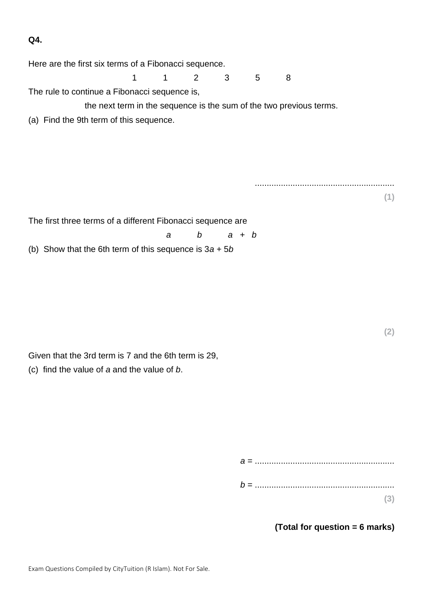**Q4.**

| Here are the first six terms of a Fibonacci sequence.               |             |              |          |         |   |   |  |     |
|---------------------------------------------------------------------|-------------|--------------|----------|---------|---|---|--|-----|
|                                                                     | $\mathbf 1$ | $\mathbf{1}$ | 2        | 3       | 5 | 8 |  |     |
| The rule to continue a Fibonacci sequence is,                       |             |              |          |         |   |   |  |     |
| the next term in the sequence is the sum of the two previous terms. |             |              |          |         |   |   |  |     |
| (a) Find the 9th term of this sequence.                             |             |              |          |         |   |   |  |     |
|                                                                     |             |              |          |         |   |   |  |     |
|                                                                     |             |              |          |         |   |   |  |     |
|                                                                     |             |              |          |         |   |   |  |     |
|                                                                     |             |              |          |         |   |   |  |     |
|                                                                     |             |              |          |         |   |   |  | (1) |
|                                                                     |             |              |          |         |   |   |  |     |
| The first three terms of a different Fibonacci sequence are         |             |              |          |         |   |   |  |     |
|                                                                     |             | a            | $\bm{b}$ | $a + b$ |   |   |  |     |
| (b) Show that the 6th term of this sequence is $3a + 5b$            |             |              |          |         |   |   |  |     |
|                                                                     |             |              |          |         |   |   |  |     |
|                                                                     |             |              |          |         |   |   |  |     |
|                                                                     |             |              |          |         |   |   |  |     |
|                                                                     |             |              |          |         |   |   |  |     |

**(2)**

Given that the 3rd term is 7 and the 6th term is 29,

(c) find the value of *a* and the value of *b*.

| (3) |  |
|-----|--|

**(Total for question = 6 marks)**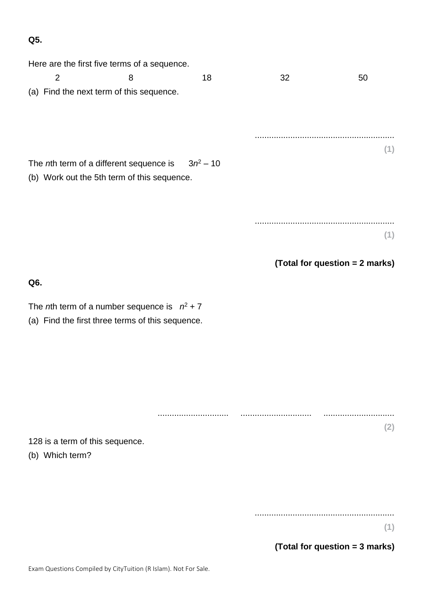**Q5.**

| Here are the first five terms of a sequence.                                                               |   |             |    |                                |  |  |  |  |
|------------------------------------------------------------------------------------------------------------|---|-------------|----|--------------------------------|--|--|--|--|
| $\overline{2}$                                                                                             | 8 | 18          | 32 | 50                             |  |  |  |  |
| (a) Find the next term of this sequence.                                                                   |   |             |    |                                |  |  |  |  |
|                                                                                                            |   |             |    |                                |  |  |  |  |
|                                                                                                            |   |             |    | (1)                            |  |  |  |  |
| The nth term of a different sequence is<br>(b) Work out the 5th term of this sequence.                     |   | $3n^2 - 10$ |    |                                |  |  |  |  |
|                                                                                                            |   |             |    |                                |  |  |  |  |
|                                                                                                            |   |             |    | (1)                            |  |  |  |  |
|                                                                                                            |   |             |    |                                |  |  |  |  |
|                                                                                                            |   |             |    | (Total for question = 2 marks) |  |  |  |  |
| Q6.                                                                                                        |   |             |    |                                |  |  |  |  |
| The <i>n</i> th term of a number sequence is $n^2 + 7$<br>(a) Find the first three terms of this sequence. |   |             |    |                                |  |  |  |  |
|                                                                                                            |   |             |    |                                |  |  |  |  |
|                                                                                                            |   |             |    |                                |  |  |  |  |
|                                                                                                            |   |             |    |                                |  |  |  |  |
| 128 is a term of this sequence.<br>(b) Which term?                                                         |   |             |    | (2)                            |  |  |  |  |
|                                                                                                            |   |             |    |                                |  |  |  |  |
|                                                                                                            |   |             |    |                                |  |  |  |  |
|                                                                                                            |   |             |    |                                |  |  |  |  |

**(1)**

**(Total for question = 3 marks)**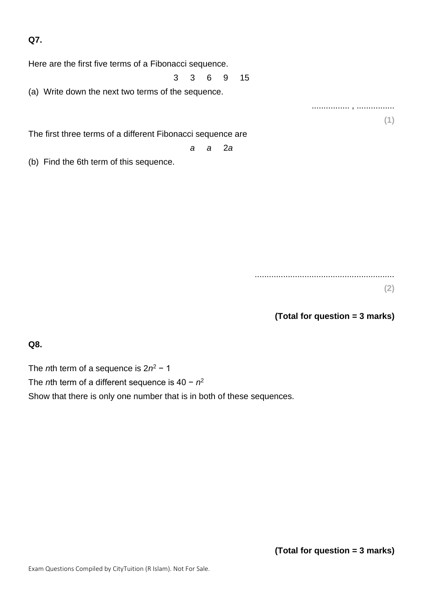**Q7.**

Here are the first five terms of a Fibonacci sequence.

3 3 6 9 15

(a) Write down the next two terms of the sequence.

The first three terms of a different Fibonacci sequence are

*a a* 2*a*

(b) Find the 6th term of this sequence.

........................................................... **(2)**

**(Total for question = 3 marks)**

................ , ................

**(1)**

**Q8.**

The *n*th term of a sequence is 2*n*<sup>2</sup> − 1 The *n*th term of a different sequence is 40 − *n* 2 Show that there is only one number that is in both of these sequences.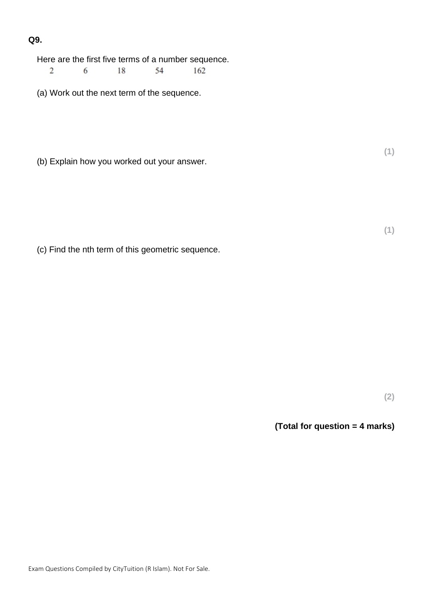### **Q9.**

Here are the first five terms of a number sequence.

18 54  $\overline{2}$  $6\overline{6}$ 162

(a) Work out the next term of the sequence.

(b) Explain how you worked out your answer.

(c) Find the nth term of this geometric sequence.

**(2)**

**(1)**

**(1)**

#### **(Total for question = 4 marks)**